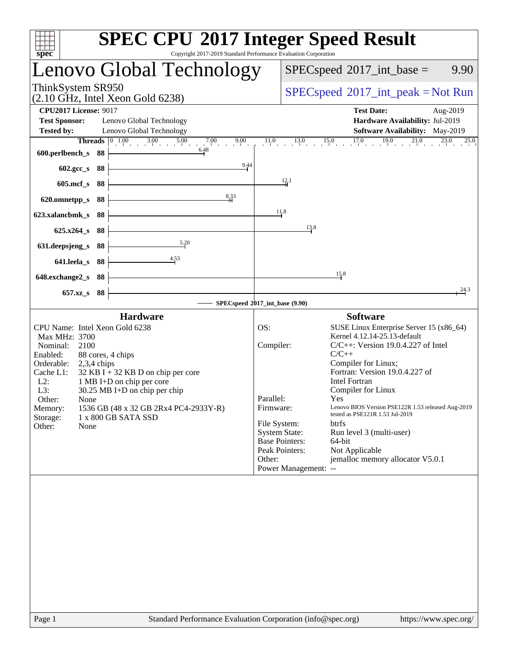| spec <sup>®</sup>                                                                                                                                                                                                                                                                                                                                                                                             | <b>SPEC CPU®2017 Integer Speed Result</b><br>Copyright 2017-2019 Standard Performance Evaluation Corporation                                                                                                                                                                                                                                                                                                                                                                                                                                                                                                                             |
|---------------------------------------------------------------------------------------------------------------------------------------------------------------------------------------------------------------------------------------------------------------------------------------------------------------------------------------------------------------------------------------------------------------|------------------------------------------------------------------------------------------------------------------------------------------------------------------------------------------------------------------------------------------------------------------------------------------------------------------------------------------------------------------------------------------------------------------------------------------------------------------------------------------------------------------------------------------------------------------------------------------------------------------------------------------|
| Lenovo Global Technology                                                                                                                                                                                                                                                                                                                                                                                      | $SPEC speed^{\circ}2017\_int\_base =$<br>9.90                                                                                                                                                                                                                                                                                                                                                                                                                                                                                                                                                                                            |
| ThinkSystem SR950<br>$(2.10 \text{ GHz}, \text{Intel Xeon Gold } 6238)$                                                                                                                                                                                                                                                                                                                                       | $SPEC speed^{\circ}2017\_int\_peak = Not Run$                                                                                                                                                                                                                                                                                                                                                                                                                                                                                                                                                                                            |
| <b>CPU2017 License: 9017</b><br><b>Test Sponsor:</b><br>Lenovo Global Technology<br>Lenovo Global Technology<br><b>Tested by:</b><br><b>Threads</b> $\begin{bmatrix} 0 & 1.00 & 3.00 & 5.00 & 7.00 & 9.00 \end{bmatrix}$                                                                                                                                                                                      | <b>Test Date:</b><br>Aug-2019<br>Hardware Availability: Jul-2019<br><b>Software Availability:</b> May-2019<br>$11.0$ $13.0$ $15.0$ $17.0$ $19.0$ $21.0$ $23.0$ $25.0$                                                                                                                                                                                                                                                                                                                                                                                                                                                                    |
| 600.perlbench_s 88<br>9.44                                                                                                                                                                                                                                                                                                                                                                                    |                                                                                                                                                                                                                                                                                                                                                                                                                                                                                                                                                                                                                                          |
| 602.gcc_s 88<br>605.mcf_s 88                                                                                                                                                                                                                                                                                                                                                                                  | 12.1                                                                                                                                                                                                                                                                                                                                                                                                                                                                                                                                                                                                                                     |
| 8,33<br>620.omnetpp_s 88                                                                                                                                                                                                                                                                                                                                                                                      |                                                                                                                                                                                                                                                                                                                                                                                                                                                                                                                                                                                                                                          |
| 623.xalancbmk_s 88                                                                                                                                                                                                                                                                                                                                                                                            | 11.8                                                                                                                                                                                                                                                                                                                                                                                                                                                                                                                                                                                                                                     |
| 625.x264_s 88                                                                                                                                                                                                                                                                                                                                                                                                 | 13.8                                                                                                                                                                                                                                                                                                                                                                                                                                                                                                                                                                                                                                     |
| 5.20<br>631.deepsjeng_s 88                                                                                                                                                                                                                                                                                                                                                                                    |                                                                                                                                                                                                                                                                                                                                                                                                                                                                                                                                                                                                                                          |
| $\overline{4.53}$<br>641.leela_s 88                                                                                                                                                                                                                                                                                                                                                                           | 15.8                                                                                                                                                                                                                                                                                                                                                                                                                                                                                                                                                                                                                                     |
| 648.exchange2_s 88<br>657.xz_s 88                                                                                                                                                                                                                                                                                                                                                                             | 24.3                                                                                                                                                                                                                                                                                                                                                                                                                                                                                                                                                                                                                                     |
|                                                                                                                                                                                                                                                                                                                                                                                                               | SPECspeed®2017_int_base (9.90)                                                                                                                                                                                                                                                                                                                                                                                                                                                                                                                                                                                                           |
| <b>Hardware</b><br>CPU Name: Intel Xeon Gold 6238<br>Max MHz: 3700<br>Nominal: 2100<br>Enabled:<br>88 cores, 4 chips<br>Orderable: 2,3,4 chips<br>Cache L1:<br>$32$ KB I + 32 KB D on chip per core<br>$L2$ :<br>1 MB I+D on chip per core<br>L3:<br>30.25 MB I+D on chip per chip<br>Other:<br>None<br>1536 GB (48 x 32 GB 2Rx4 PC4-2933Y-R)<br>Memory:<br>1 x 800 GB SATA SSD<br>Storage:<br>Other:<br>None | <b>Software</b><br>OS:<br>SUSE Linux Enterprise Server 15 (x86_64)<br>Kernel 4.12.14-25.13-default<br>Compiler:<br>$C/C++$ : Version 19.0.4.227 of Intel<br>$C/C++$<br>Compiler for Linux;<br>Fortran: Version 19.0.4.227 of<br><b>Intel Fortran</b><br>Compiler for Linux<br>Parallel:<br>Yes<br>Lenovo BIOS Version PSE122R 1.53 released Aug-2019<br>Firmware:<br>tested as PSE121R 1.53 Jul-2019<br>File System:<br><b>btrfs</b><br><b>System State:</b><br>Run level 3 (multi-user)<br><b>Base Pointers:</b><br>$64$ -bit<br>Peak Pointers:<br>Not Applicable<br>jemalloc memory allocator V5.0.1<br>Other:<br>Power Management: -- |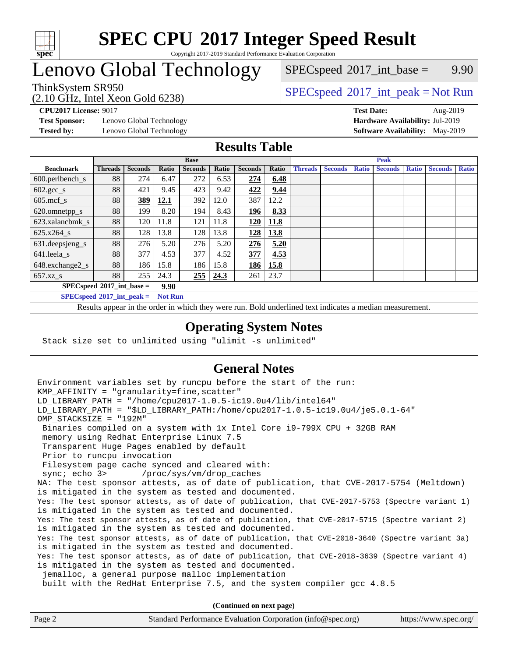

#### **[SPEC CPU](http://www.spec.org/auto/cpu2017/Docs/result-fields.html#SPECCPU2017IntegerSpeedResult)[2017 Integer Speed Result](http://www.spec.org/auto/cpu2017/Docs/result-fields.html#SPECCPU2017IntegerSpeedResult)** Copyright 2017-2019 Standard Performance Evaluation Corporation

## Lenovo Global Technology

(2.10 GHz, Intel Xeon Gold 6238)

 $SPECspeed^{\circ}2017\_int\_base =$  $SPECspeed^{\circ}2017\_int\_base =$  9.90

## ThinkSystem SR950<br>  $SPECspeed^{\circ}2017\_int\_peak = Not Run$  $SPECspeed^{\circ}2017\_int\_peak = Not Run$

**[Test Sponsor:](http://www.spec.org/auto/cpu2017/Docs/result-fields.html#TestSponsor)** Lenovo Global Technology **[Hardware Availability:](http://www.spec.org/auto/cpu2017/Docs/result-fields.html#HardwareAvailability)** Jul-2019

**[CPU2017 License:](http://www.spec.org/auto/cpu2017/Docs/result-fields.html#CPU2017License)** 9017 **[Test Date:](http://www.spec.org/auto/cpu2017/Docs/result-fields.html#TestDate)** Aug-2019 **[Tested by:](http://www.spec.org/auto/cpu2017/Docs/result-fields.html#Testedby)** Lenovo Global Technology **[Software Availability:](http://www.spec.org/auto/cpu2017/Docs/result-fields.html#SoftwareAvailability)** May-2019

#### **[Results Table](http://www.spec.org/auto/cpu2017/Docs/result-fields.html#ResultsTable)**

|                                     | <b>Base</b>    |                |       |                |       | <b>Peak</b>    |       |                |                |              |                |              |                |              |
|-------------------------------------|----------------|----------------|-------|----------------|-------|----------------|-------|----------------|----------------|--------------|----------------|--------------|----------------|--------------|
| <b>Benchmark</b>                    | <b>Threads</b> | <b>Seconds</b> | Ratio | <b>Seconds</b> | Ratio | <b>Seconds</b> | Ratio | <b>Threads</b> | <b>Seconds</b> | <b>Ratio</b> | <b>Seconds</b> | <b>Ratio</b> | <b>Seconds</b> | <b>Ratio</b> |
| $600.$ perlbench_s                  | 88             | 274            | 6.47  | 272            | 6.53  | 274            | 6.48  |                |                |              |                |              |                |              |
| $602.\text{gcc}\_\text{s}$          | 88             | 421            | 9.45  | 423            | 9.42  | 422            | 9.44  |                |                |              |                |              |                |              |
| $605$ .mcf s                        | 88             | 389            | 12.1  | 392            | 12.0  | 387            | 12.2  |                |                |              |                |              |                |              |
| 620.omnetpp_s                       | 88             | 199            | 8.20  | 194            | 8.43  | 196            | 8.33  |                |                |              |                |              |                |              |
| 623.xalancbmk s                     | 88             | 120            | 11.8  | 121            | 11.8  | 120            | 11.8  |                |                |              |                |              |                |              |
| 625.x264 s                          | 88             | 128            | 13.8  | 128            | 13.8  | 128            | 13.8  |                |                |              |                |              |                |              |
| 631.deepsjeng_s                     | 88             | 276            | 5.20  | 276            | 5.20  | 276            | 5.20  |                |                |              |                |              |                |              |
| $641.$ leela_s                      | 88             | 377            | 4.53  | 377            | 4.52  | 377            | 4.53  |                |                |              |                |              |                |              |
| 648.exchange2_s                     | 88             | 186            | 15.8  | 186            | 15.8  | 186            | 15.8  |                |                |              |                |              |                |              |
| $657.xz$ s                          | 88             | 255            | 24.3  | 255            | 24.3  | 261            | 23.7  |                |                |              |                |              |                |              |
| $SPECspeed*2017$ int base =<br>9.90 |                |                |       |                |       |                |       |                |                |              |                |              |                |              |

**[SPECspeed](http://www.spec.org/auto/cpu2017/Docs/result-fields.html#SPECspeed2017intpeak)[2017\\_int\\_peak =](http://www.spec.org/auto/cpu2017/Docs/result-fields.html#SPECspeed2017intpeak) Not Run**

Results appear in the [order in which they were run.](http://www.spec.org/auto/cpu2017/Docs/result-fields.html#RunOrder) Bold underlined text [indicates a median measurement.](http://www.spec.org/auto/cpu2017/Docs/result-fields.html#Median)

#### **[Operating System Notes](http://www.spec.org/auto/cpu2017/Docs/result-fields.html#OperatingSystemNotes)**

Stack size set to unlimited using "ulimit -s unlimited"

### **[General Notes](http://www.spec.org/auto/cpu2017/Docs/result-fields.html#GeneralNotes)**

Environment variables set by runcpu before the start of the run: KMP AFFINITY = "granularity=fine, scatter" LD\_LIBRARY\_PATH = "/home/cpu2017-1.0.5-ic19.0u4/lib/intel64" LD\_LIBRARY\_PATH = "\$LD\_LIBRARY\_PATH:/home/cpu2017-1.0.5-ic19.0u4/je5.0.1-64" OMP\_STACKSIZE = "192M" Binaries compiled on a system with 1x Intel Core i9-799X CPU + 32GB RAM memory using Redhat Enterprise Linux 7.5 Transparent Huge Pages enabled by default Prior to runcpu invocation Filesystem page cache synced and cleared with: sync; echo 3> /proc/sys/vm/drop\_caches NA: The test sponsor attests, as of date of publication, that CVE-2017-5754 (Meltdown) is mitigated in the system as tested and documented. Yes: The test sponsor attests, as of date of publication, that CVE-2017-5753 (Spectre variant 1) is mitigated in the system as tested and documented. Yes: The test sponsor attests, as of date of publication, that CVE-2017-5715 (Spectre variant 2) is mitigated in the system as tested and documented. Yes: The test sponsor attests, as of date of publication, that CVE-2018-3640 (Spectre variant 3a) is mitigated in the system as tested and documented. Yes: The test sponsor attests, as of date of publication, that CVE-2018-3639 (Spectre variant 4) is mitigated in the system as tested and documented. jemalloc, a general purpose malloc implementation built with the RedHat Enterprise 7.5, and the system compiler gcc 4.8.5 **(Continued on next page)**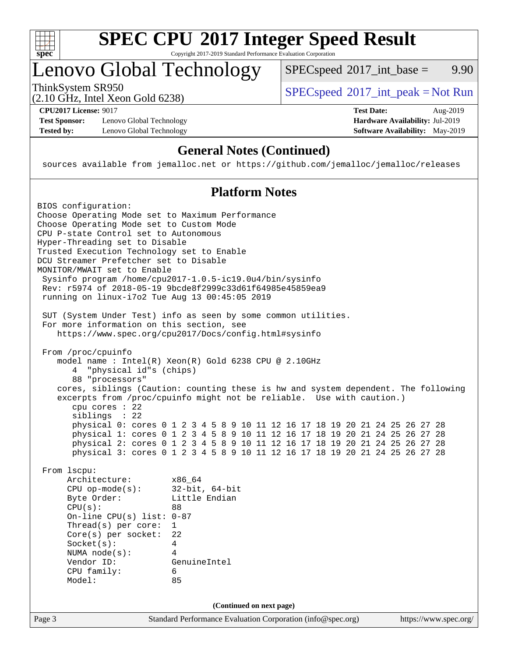

# **[SPEC CPU](http://www.spec.org/auto/cpu2017/Docs/result-fields.html#SPECCPU2017IntegerSpeedResult)[2017 Integer Speed Result](http://www.spec.org/auto/cpu2017/Docs/result-fields.html#SPECCPU2017IntegerSpeedResult)**

Copyright 2017-2019 Standard Performance Evaluation Corporation

## Lenovo Global Technology

ThinkSystem SR950<br>  $(2.10 \text{ GHz} \text{ Intel } \text{Yoon} \text{ Gold } 6238)$  [SPECspeed](http://www.spec.org/auto/cpu2017/Docs/result-fields.html#SPECspeed2017intpeak)<sup>®</sup>[2017\\_int\\_peak = N](http://www.spec.org/auto/cpu2017/Docs/result-fields.html#SPECspeed2017intpeak)ot Run  $SPECspeed^{\circledcirc}2017\_int\_base = 9.90$  $SPECspeed^{\circledcirc}2017\_int\_base = 9.90$ 

(2.10 GHz, Intel Xeon Gold 6238)

**[Test Sponsor:](http://www.spec.org/auto/cpu2017/Docs/result-fields.html#TestSponsor)** Lenovo Global Technology **[Hardware Availability:](http://www.spec.org/auto/cpu2017/Docs/result-fields.html#HardwareAvailability)** Jul-2019 **[Tested by:](http://www.spec.org/auto/cpu2017/Docs/result-fields.html#Testedby)** Lenovo Global Technology **[Software Availability:](http://www.spec.org/auto/cpu2017/Docs/result-fields.html#SoftwareAvailability)** May-2019

**[CPU2017 License:](http://www.spec.org/auto/cpu2017/Docs/result-fields.html#CPU2017License)** 9017 **[Test Date:](http://www.spec.org/auto/cpu2017/Docs/result-fields.html#TestDate)** Aug-2019

### **[General Notes \(Continued\)](http://www.spec.org/auto/cpu2017/Docs/result-fields.html#GeneralNotes)**

sources available from jemalloc.net or <https://github.com/jemalloc/jemalloc/releases>

### **[Platform Notes](http://www.spec.org/auto/cpu2017/Docs/result-fields.html#PlatformNotes)**

| BIOS configuration:                                                                            |
|------------------------------------------------------------------------------------------------|
| Choose Operating Mode set to Maximum Performance                                               |
| Choose Operating Mode set to Custom Mode                                                       |
| CPU P-state Control set to Autonomous                                                          |
| Hyper-Threading set to Disable                                                                 |
| Trusted Execution Technology set to Enable                                                     |
| DCU Streamer Prefetcher set to Disable                                                         |
| MONITOR/MWAIT set to Enable                                                                    |
| Sysinfo program /home/cpu2017-1.0.5-ic19.0u4/bin/sysinfo                                       |
| Rev: r5974 of 2018-05-19 9bcde8f2999c33d61f64985e45859ea9                                      |
| running on linux-i7o2 Tue Aug 13 00:45:05 2019                                                 |
| SUT (System Under Test) info as seen by some common utilities.                                 |
| For more information on this section, see                                                      |
| https://www.spec.org/cpu2017/Docs/config.html#sysinfo                                          |
| From /proc/cpuinfo                                                                             |
| model name : Intel(R) Xeon(R) Gold 6238 CPU @ 2.10GHz                                          |
| 4 "physical id"s (chips)                                                                       |
| 88 "processors"                                                                                |
| cores, siblings (Caution: counting these is hw and system dependent. The following             |
| excerpts from /proc/cpuinfo might not be reliable. Use with caution.)                          |
| $cpu$ cores : 22                                                                               |
| siblings : 22                                                                                  |
| physical 0: cores 0 1 2 3 4 5 8 9 10 11 12 16 17 18 19 20 21 24 25 26 27 28                    |
| physical 1: cores 0 1 2 3 4 5 8 9 10 11 12 16 17 18 19 20 21 24 25 26 27 28                    |
| physical 2: cores 0 1 2 3 4 5 8 9 10 11 12 16 17 18 19 20 21 24 25 26 27 28                    |
| physical 3: cores 0 1 2 3 4 5 8 9 10 11 12 16 17 18 19 20 21 24 25 26 27 28                    |
| From 1scpu:                                                                                    |
| Architecture:<br>x86_64                                                                        |
| $CPU$ op-mode $(s)$ :<br>$32$ -bit, $64$ -bit                                                  |
| Little Endian<br>Byte Order:                                                                   |
| CPU(s):<br>88                                                                                  |
| On-line CPU(s) list: 0-87                                                                      |
| Thread(s) per core:<br>$\mathbf{1}$                                                            |
| $Core(s)$ per socket:<br>22                                                                    |
| $Socket(s)$ :<br>4                                                                             |
| NUMA $node(s):$<br>4                                                                           |
| Vendor ID:<br>GenuineIntel                                                                     |
| CPU family:<br>6                                                                               |
| Model:<br>85                                                                                   |
| (Continued on next page)                                                                       |
| Page 3<br>Standard Performance Evaluation Corporation (info@spec.org)<br>https://www.spec.org/ |
|                                                                                                |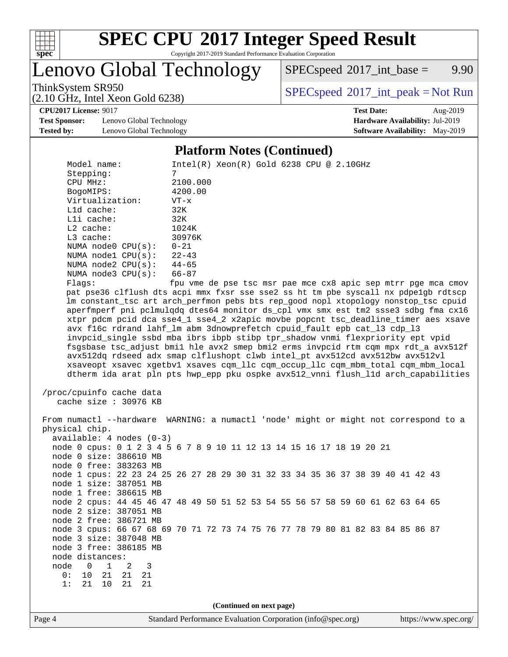

# **[SPEC CPU](http://www.spec.org/auto/cpu2017/Docs/result-fields.html#SPECCPU2017IntegerSpeedResult)[2017 Integer Speed Result](http://www.spec.org/auto/cpu2017/Docs/result-fields.html#SPECCPU2017IntegerSpeedResult)**

Copyright 2017-2019 Standard Performance Evaluation Corporation

Lenovo Global Technology

 $SPEC speed^{\circ}2017\_int\_base =$  9.90

(2.10 GHz, Intel Xeon Gold 6238)

ThinkSystem SR950<br>  $SPEC speed^{\circ}2017\_int\_peak = Not Run$ 

**[CPU2017 License:](http://www.spec.org/auto/cpu2017/Docs/result-fields.html#CPU2017License)** 9017 **[Test Date:](http://www.spec.org/auto/cpu2017/Docs/result-fields.html#TestDate)** Aug-2019

**[Test Sponsor:](http://www.spec.org/auto/cpu2017/Docs/result-fields.html#TestSponsor)** Lenovo Global Technology **[Hardware Availability:](http://www.spec.org/auto/cpu2017/Docs/result-fields.html#HardwareAvailability)** Jul-2019 **[Tested by:](http://www.spec.org/auto/cpu2017/Docs/result-fields.html#Testedby)** Lenovo Global Technology **[Software Availability:](http://www.spec.org/auto/cpu2017/Docs/result-fields.html#SoftwareAvailability)** May-2019

#### **[Platform Notes \(Continued\)](http://www.spec.org/auto/cpu2017/Docs/result-fields.html#PlatformNotes)**

Page 4 Standard Performance Evaluation Corporation [\(info@spec.org\)](mailto:info@spec.org) <https://www.spec.org/> Model name: Intel(R) Xeon(R) Gold 6238 CPU @ 2.10GHz Stepping: 7 CPU MHz: 2100.000 BogoMIPS: 4200.00 Virtualization: VT-x L1d cache: 32K L1i cache: 32K L2 cache: 1024K<br>
L3 cache: 30976K L3 cache: NUMA node0 CPU(s): 0-21 NUMA node1 CPU(s): 22-43 NUMA node2 CPU(s): 44-65 NUMA node3 CPU(s): 66-87 Flags: fpu vme de pse tsc msr pae mce cx8 apic sep mtrr pge mca cmov pat pse36 clflush dts acpi mmx fxsr sse sse2 ss ht tm pbe syscall nx pdpe1gb rdtscp lm constant\_tsc art arch\_perfmon pebs bts rep\_good nopl xtopology nonstop\_tsc cpuid aperfmperf pni pclmulqdq dtes64 monitor ds\_cpl vmx smx est tm2 ssse3 sdbg fma cx16 xtpr pdcm pcid dca sse4\_1 sse4\_2 x2apic movbe popcnt tsc\_deadline\_timer aes xsave avx f16c rdrand lahf\_lm abm 3dnowprefetch cpuid\_fault epb cat\_l3 cdp\_l3 invpcid\_single ssbd mba ibrs ibpb stibp tpr\_shadow vnmi flexpriority ept vpid fsgsbase tsc\_adjust bmi1 hle avx2 smep bmi2 erms invpcid rtm cqm mpx rdt\_a avx512f avx512dq rdseed adx smap clflushopt clwb intel\_pt avx512cd avx512bw avx512vl xsaveopt xsavec xgetbv1 xsaves cqm\_llc cqm\_occup\_llc cqm\_mbm\_total cqm\_mbm\_local dtherm ida arat pln pts hwp\_epp pku ospke avx512\_vnni flush\_l1d arch\_capabilities /proc/cpuinfo cache data cache size : 30976 KB From numactl --hardware WARNING: a numactl 'node' might or might not correspond to a physical chip. available: 4 nodes (0-3) node 0 cpus: 0 1 2 3 4 5 6 7 8 9 10 11 12 13 14 15 16 17 18 19 20 21 node 0 size: 386610 MB node 0 free: 383263 MB node 1 cpus: 22 23 24 25 26 27 28 29 30 31 32 33 34 35 36 37 38 39 40 41 42 43 node 1 size: 387051 MB node 1 free: 386615 MB node 2 cpus: 44 45 46 47 48 49 50 51 52 53 54 55 56 57 58 59 60 61 62 63 64 65 node 2 size: 387051 MB node 2 free: 386721 MB node 3 cpus: 66 67 68 69 70 71 72 73 74 75 76 77 78 79 80 81 82 83 84 85 86 87 node 3 size: 387048 MB node 3 free: 386185 MB node distances: node 0 1 2 3 0: 10 21 21 21 1: 21 10 21 21 **(Continued on next page)**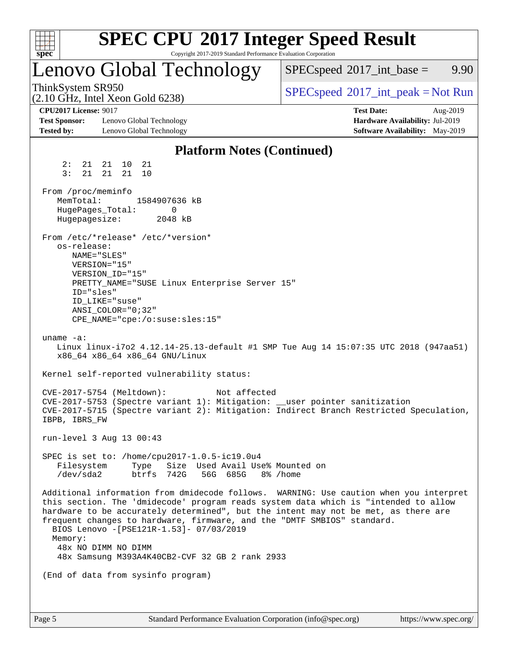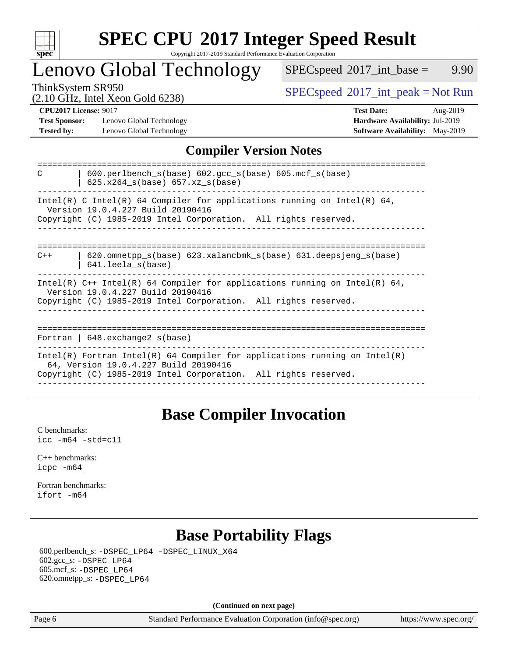

#### **[SPEC CPU](http://www.spec.org/auto/cpu2017/Docs/result-fields.html#SPECCPU2017IntegerSpeedResult)[2017 Integer Speed Result](http://www.spec.org/auto/cpu2017/Docs/result-fields.html#SPECCPU2017IntegerSpeedResult)** Copyright 2017-2019 Standard Performance Evaluation Corporation

## Lenovo Global Technology

 $SPECspeed^{\circ}2017\_int\_base =$  $SPECspeed^{\circ}2017\_int\_base =$  9.90

(2.10 GHz, Intel Xeon Gold 6238)

ThinkSystem SR950<br>  $\begin{array}{c}\n\text{SPEC speed} \text{?}2017\_int\_peak = Not Run \\
\text{CHz\_Total Yes} = \text{Gold }6238\n\end{array}$ 

**[Test Sponsor:](http://www.spec.org/auto/cpu2017/Docs/result-fields.html#TestSponsor)** Lenovo Global Technology **[Hardware Availability:](http://www.spec.org/auto/cpu2017/Docs/result-fields.html#HardwareAvailability)** Jul-2019 **[Tested by:](http://www.spec.org/auto/cpu2017/Docs/result-fields.html#Testedby)** Lenovo Global Technology **[Software Availability:](http://www.spec.org/auto/cpu2017/Docs/result-fields.html#SoftwareAvailability)** May-2019

**[CPU2017 License:](http://www.spec.org/auto/cpu2017/Docs/result-fields.html#CPU2017License)** 9017 **[Test Date:](http://www.spec.org/auto/cpu2017/Docs/result-fields.html#TestDate)** Aug-2019

### **[Compiler Version Notes](http://www.spec.org/auto/cpu2017/Docs/result-fields.html#CompilerVersionNotes)**

| $600.$ perlbench $s(base)$ $602.$ qcc $s(base)$ $605.$ mcf $s(base)$<br>C<br>$625.x264_s(base) 657.xz_s(base)$                                                                         |
|----------------------------------------------------------------------------------------------------------------------------------------------------------------------------------------|
| Intel(R) C Intel(R) 64 Compiler for applications running on Intel(R) 64,<br>Version 19.0.4.227 Build 20190416<br>Copyright (C) 1985-2019 Intel Corporation. All rights reserved.       |
|                                                                                                                                                                                        |
| $620$ .omnetpp $s(base)$ 623.xalancbmk $s(base)$ 631.deepsjeng $s(base)$<br>$C++$<br>$641.$ leela $s$ (base)                                                                           |
| Intel(R) $C++$ Intel(R) 64 Compiler for applications running on Intel(R) 64,<br>Version 19.0.4.227 Build 20190416<br>Copyright (C) 1985-2019 Intel Corporation. All rights reserved.   |
| Fortran   $648$ . exchange2 $s(base)$                                                                                                                                                  |
| Intel(R) Fortran Intel(R) 64 Compiler for applications running on Intel(R)<br>64, Version 19.0.4.227 Build 20190416<br>Copyright (C) 1985-2019 Intel Corporation. All rights reserved. |
|                                                                                                                                                                                        |

## **[Base Compiler Invocation](http://www.spec.org/auto/cpu2017/Docs/result-fields.html#BaseCompilerInvocation)**

[C benchmarks](http://www.spec.org/auto/cpu2017/Docs/result-fields.html#Cbenchmarks): [icc -m64 -std=c11](http://www.spec.org/cpu2017/results/res2019q3/cpu2017-20190902-17537.flags.html#user_CCbase_intel_icc_64bit_c11_33ee0cdaae7deeeab2a9725423ba97205ce30f63b9926c2519791662299b76a0318f32ddfffdc46587804de3178b4f9328c46fa7c2b0cd779d7a61945c91cd35)

[C++ benchmarks:](http://www.spec.org/auto/cpu2017/Docs/result-fields.html#CXXbenchmarks) [icpc -m64](http://www.spec.org/cpu2017/results/res2019q3/cpu2017-20190902-17537.flags.html#user_CXXbase_intel_icpc_64bit_4ecb2543ae3f1412ef961e0650ca070fec7b7afdcd6ed48761b84423119d1bf6bdf5cad15b44d48e7256388bc77273b966e5eb805aefd121eb22e9299b2ec9d9)

[Fortran benchmarks](http://www.spec.org/auto/cpu2017/Docs/result-fields.html#Fortranbenchmarks): [ifort -m64](http://www.spec.org/cpu2017/results/res2019q3/cpu2017-20190902-17537.flags.html#user_FCbase_intel_ifort_64bit_24f2bb282fbaeffd6157abe4f878425411749daecae9a33200eee2bee2fe76f3b89351d69a8130dd5949958ce389cf37ff59a95e7a40d588e8d3a57e0c3fd751)

## **[Base Portability Flags](http://www.spec.org/auto/cpu2017/Docs/result-fields.html#BasePortabilityFlags)**

 600.perlbench\_s: [-DSPEC\\_LP64](http://www.spec.org/cpu2017/results/res2019q3/cpu2017-20190902-17537.flags.html#b600.perlbench_s_basePORTABILITY_DSPEC_LP64) [-DSPEC\\_LINUX\\_X64](http://www.spec.org/cpu2017/results/res2019q3/cpu2017-20190902-17537.flags.html#b600.perlbench_s_baseCPORTABILITY_DSPEC_LINUX_X64) 602.gcc\_s: [-DSPEC\\_LP64](http://www.spec.org/cpu2017/results/res2019q3/cpu2017-20190902-17537.flags.html#suite_basePORTABILITY602_gcc_s_DSPEC_LP64) 605.mcf\_s: [-DSPEC\\_LP64](http://www.spec.org/cpu2017/results/res2019q3/cpu2017-20190902-17537.flags.html#suite_basePORTABILITY605_mcf_s_DSPEC_LP64) 620.omnetpp\_s: [-DSPEC\\_LP64](http://www.spec.org/cpu2017/results/res2019q3/cpu2017-20190902-17537.flags.html#suite_basePORTABILITY620_omnetpp_s_DSPEC_LP64)

**(Continued on next page)**

Page 6 Standard Performance Evaluation Corporation [\(info@spec.org\)](mailto:info@spec.org) <https://www.spec.org/>